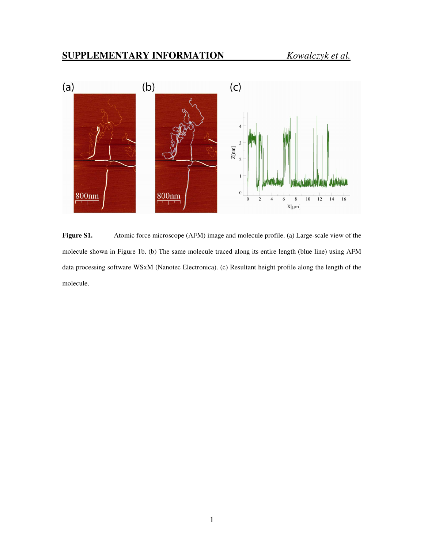

Figure S1. Atomic force microscope (AFM) image and molecule profile. (a) Large-scale view of the molecule shown in Figure 1b. (b) The same molecule traced along its entire length (blue line) using AFM data processing software WSxM (Nanotec Electronica). (c) Resultant height profile along the length of the molecule.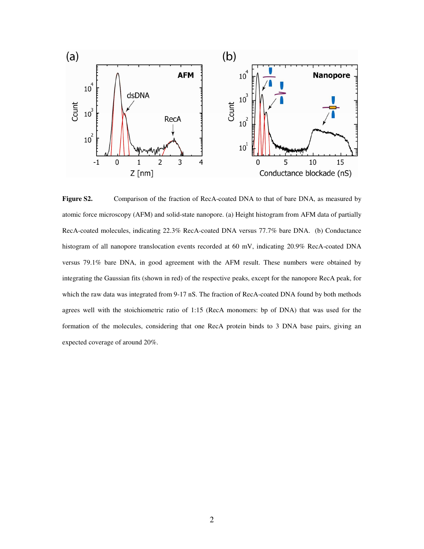

**Figure S2.** Comparison of the fraction of RecA-coated DNA to that of bare DNA, as measured by atomic force microscopy (AFM) and solid-state nanopore. (a) Height histogram from AFM data of partially RecA-coated molecules, indicating 22.3% RecA-coated DNA versus 77.7% bare DNA. (b) Conductance histogram of all nanopore translocation events recorded at 60 mV, indicating 20.9% RecA-coated DNA versus 79.1% bare DNA, in good agreement with the AFM result. These numbers were obtained by integrating the Gaussian fits (shown in red) of the respective peaks, except for the nanopore RecA peak, for which the raw data was integrated from 9-17 nS. The fraction of RecA-coated DNA found by both methods agrees well with the stoichiometric ratio of 1:15 (RecA monomers: bp of DNA) that was used for the formation of the molecules, considering that one RecA protein binds to 3 DNA base pairs, giving an expected coverage of around 20%.